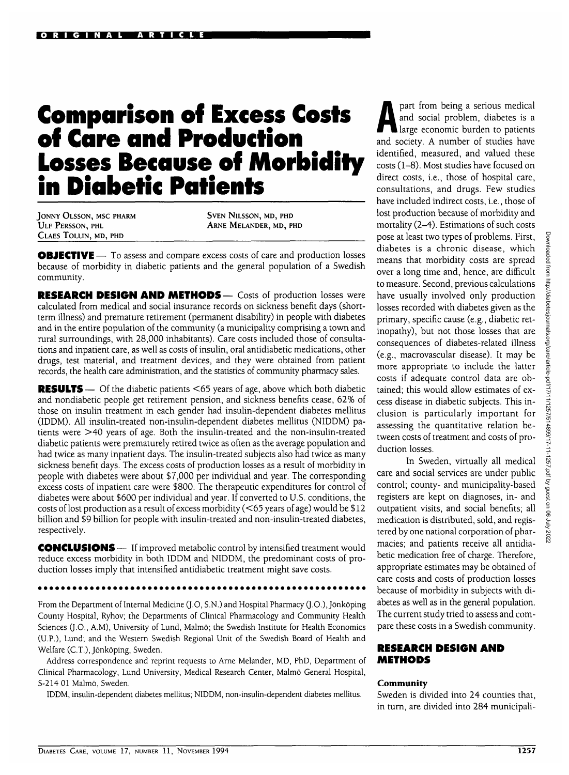# **Comparison of Excess Costs of Care and Production Losses Because of Morbidity in Diabetic Patients**

JONNY OLSSON, MSC PHARM ULF PERSSON, PHL CLAES TOLLIN, MD, PHD

SVEN NlLSSON, MD, PHD ARNE MELANDER, MD, PHD

**OBJECTIVE** — To assess and compare excess costs of care and production losses because of morbidity in diabetic patients and the general population of a Swedish community.

**RESEARCH DESIGN AND METHODS** — Costs of production losses were calculated from medical and social insurance records on sickness benefit days (shortterm illness) and premature retirement (permanent disability) in people with diabetes and in the entire population of the community (a municipality comprising a town and rural surroundings, with 28,000 inhabitants). Care costs included those of consultations and inpatient care, as well as costs of insulin, oral antidiabetic medications, other drugs, test material, and treatment devices, and they were obtained from patient records, the health care administration, and the statistics of community pharmacy sales.

**RESULTS** — Of the diabetic patients <65 years of age, above which both diabetic and nondiabetic people get retirement pension, and sickness benefits cease, 62% of those on insulin treatment in each gender had insulin-dependent diabetes mellitus (IDDM). All insulin-treated non-insulin-dependent diabetes mellitus (NIDDM) patients were >40 years of age. Both the insulin-treated and the non-insulin-treated diabetic patients were prematurely retired twice as often as the average population and had twice as many inpatient days. The insulin-treated subjects also had twice as many sickness benefit days. The excess costs of production losses as a result of morbidity in people with diabetes were about \$7,000 per individual and year. The corresponding excess costs of inpatient care were \$800. The therapeutic expenditures for control of diabetes were about \$600 per individual and year. If converted to U.S. conditions, the costs of lost production as a result of excess morbidity ( $\leq$  65 years of age) would be \$12 billion and \$9 billion for people with insulin-treated and non-insulin-treated diabetes, respectively.

**CONCLUSIONS** — If improved metabolic control by intensified treatment would reduce excess morbidity in both IDDM and NIDDM, the predominant costs of production losses imply that intensified antidiabetic treatment might save costs.

From the Department of Internal Medicine (JO, S.N.) and Hospital Pharmacy (J.O.), Jonkoping County Hospital, Ryhov; the Departments of Clinical Pharmacology and Community Health Sciences (J.O., A.M), University of Lund, Malmo; the Swedish Institute for Health Economics (U.P.), Lund; and the Western Swedish Regional Unit of the Swedish Board of Health and Welfare (C.T.), Jönköping, Sweden.

Address correspondence and reprint requests to Arne Melander, MD, PhD, Department of Clinical Pharmacology, Lund University, Medical Research Center, Malmo General Hospital, S-214 01 Malmö, Sweden.

IDDM, insulin-dependent diabetes mellitus; NIDDM, non-insulin-dependent diabetes mellitus.

part from being a serious medical<br>and social problem, diabetes is a<br>large economic burden to patients and social problem, diabetes is a large economic burden to patients and society. A number of studies have identified, measured, and valued these costs (1-8). Most studies have focused on direct costs, i.e., those of hospital care, consultations, and drugs. Few studies have included indirect costs, i.e., those of lost production because of morbidity and mortality (2-4). Estimations of such costs pose at least two types of problems. First, diabetes is a chronic disease, which means that morbidity costs are spread over a long time and, hence, are difficult to measure. Second, previous calculations have usually involved only production losses recorded with diabetes given as the primary, specific cause (e.g., diabetic retinopathy), but not those losses that are consequences of diabetes-related illness (e.g., macrovascular disease). It may be more appropriate to include the latter costs if adequate control data are obtained; this would allow estimates of excess disease in diabetic subjects. This inclusion is particularly important for assessing the quantitative relation between costs of treatment and costs of production losses.

In Sweden, virtually all medical care and social services are under public control; county- and municipality-based registers are kept on diagnoses, in- and outpatient visits, and social benefits; all medication is distributed, sold, and registered by one national corporation of pharmacies; and patients receive all antidiabetic medication free of charge. Therefore, appropriate estimates may be obtained of care costs and costs of production losses because of morbidity in subjects with diabetes as well as in the general population. The current study tried to assess and compare these costs in a Swedish community.

## **RESEARCH DESIGN ANP METHODS**

#### **Community**

Sweden is divided into 24 counties that, in turn, are divided into 284 municipali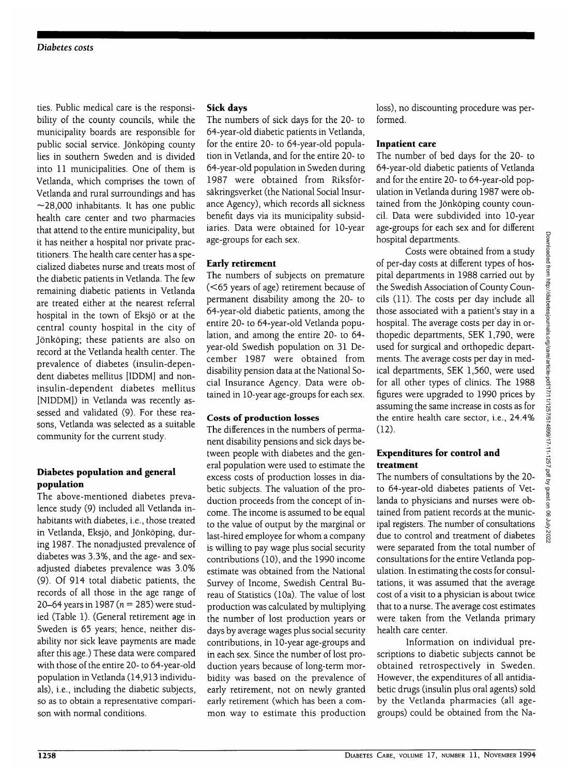ties. Public medical care is the responsibility of the county councils, while the municipality boards are responsible for public social service. Jönköping county lies in southern Sweden and is divided into 11 municipalities. One of them is Vetlanda, which comprises the town of Vetlanda and rural surroundings and has  $\sim$ 28,000 inhabitants. It has one public health care center and two pharmacies that attend to the entire municipality, but it has neither a hospital nor private practitioners. The health care center has a specialized diabetes nurse and treats most of the diabetic patients in Vetlanda. The few remaining diabetic patients in Vetlanda are treated either at the nearest referral hospital in the town of Eksjo or at the central county hospital in the city of Jonkoping; these patients are also on record at the Vetlanda health center. The prevalence of diabetes (insulin-dependent diabetes mellitus [IDDM] and noninsulin-dependent diabetes mellitus [NIDDM]) in Vetlanda was recently assessed and validated (9). For these reasons, Vetlanda was selected as a suitable community for the current study.

# **Diabetes population and general population**

The above-mentioned diabetes prevalence study (9) included all Vetlanda inhabitants with diabetes, i.e., those treated in Vetlanda, Eksjo, and Jonkoping, during 1987. The nonadjusted prevalence of diabetes was 3.3%, and the age- and sexadjusted diabetes prevalence was 3.0% (9). Of 914 total diabetic patients, the records of all those in the age range of 20–64 years in 1987 ( $n = 285$ ) were studied (Table 1). (General retirement age in Sweden is 65 years; hence, neither disability nor sick leave payments are made after this age.) These data were compared with those of the entire 20- to 64-year-old population in Vetlanda (14,913 individuals), i.e., including the diabetic subjects, so as to obtain a representative comparison with normal conditions.

## **Sick days**

The numbers of sick days for the 20- to 64-year-old diabetic patients in Vetlanda, for the entire 20- to 64-year-old population in Vetlanda, and for the entire 20- to 64-year-old population in Sweden during 1987 were obtained from Riksforsakringsverket (the National Social Insurance Agency), which records all sickness benefit days via its municipality subsidiaries. Data were obtained for 10-year age-groups for each sex.

# **Early retirement**

The numbers of subjects on premature (<65 years of age) retirement because of permanent disability among the 20- to 64-year-old diabetic patients, among the entire 20- to 64-year-old Vetlanda population, and among the entire 20- to 64 year-old Swedish population on 31 December 1987 were obtained from disability pension data at the National Social Insurance Agency. Data were obtained in 10-year age-groups for each sex.

## **Costs of production losses**

The differences in the numbers of permanent disability pensions and sick days between people with diabetes and the general population were used to estimate the excess costs of production losses in diabetic subjects. The valuation of the production proceeds from the concept of income. The income is assumed to be equal to the value of output by the marginal or last-hired employee for whom a company is willing to pay wage plus social security contributions (10), and the 1990 income estimate was obtained from the National Survey of Income, Swedish Central Bureau of Statistics (10a). The value of lost production was calculated by multiplying the number of lost production years or days by average wages plus social security contributions, in 10-year age-groups and in each sex. Since the number of lost production years because of long-term morbidity was based on the prevalence of early retirement, not on newly granted early retirement (which has been a common way to estimate this production

loss), no discounting procedure was performed.

## **Inpatient care**

The number of bed days for the 20- to 64-year-old diabetic patients of Vetlanda and for the entire 20- to 64-year-old population in Vetlanda during 1987 were obtained from the Jönköping county council. Data were subdivided into 10-year age-groups for each sex and for different hospital departments.

Costs were obtained from a study of per-day costs at different types of hospital departments in 1988 carried out by the Swedish Association of County Councils (11). The costs per day include all those associated with a patient's stay in a hospital. The average costs per day in orthopedic departments, SEK 1,790, were used for surgical and orthopedic departments. The average costs per day in medical departments, SEK 1,560, were used for all other types of clinics. The 1988 figures were upgraded to 1990 prices by assuming the same increase in costs as for the entire health care sector, i.e., 24.4%  $(12)$ .

702 Ann

## **Expenditures for control and treatment**

The numbers of consultations by the 20 to 64-year-old diabetes patients of Vetlanda to physicians and nurses were obtained from patient records at the municipal registers. The number of consultations due to control and treatment of diabetes were separated from the total number of consultations for the entire Vetlanda population. In estimating the costs for consultations, it was assumed that the average cost of a visit to a physician is about twice that to a nurse. The average cost estimates were taken from the Vetlanda primary health care center.

Information on individual prescriptions to diabetic subjects cannot be obtained retrospectively in Sweden. However, the expenditures of all antidiabetic drugs (insulin plus oral agents) sold by the Vetlanda pharmacies (all agegroups) could be obtained from the Na-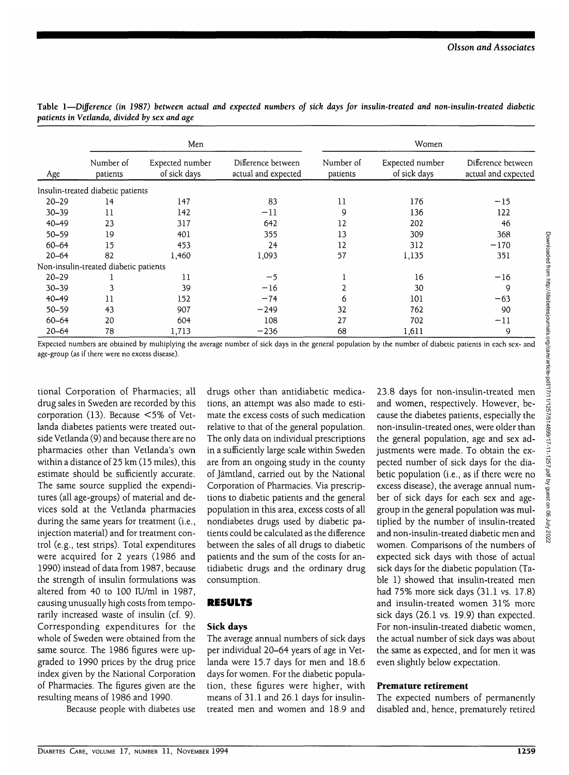|           | Men                                   |                                 |                                           | Women                 |                                 |                                           |
|-----------|---------------------------------------|---------------------------------|-------------------------------------------|-----------------------|---------------------------------|-------------------------------------------|
| Age       | Number of<br>patients                 | Expected number<br>of sick days | Difference between<br>actual and expected | Number of<br>patients | Expected number<br>of sick days | Difference between<br>actual and expected |
|           | Insulin-treated diabetic patients     |                                 |                                           |                       |                                 |                                           |
| $20 - 29$ | 14                                    | 147                             | 83                                        | 11                    | 176                             | $-15$                                     |
| $30 - 39$ | 11                                    | 142                             | $-11$                                     | 9                     | 136                             | 122                                       |
| $40 - 49$ | 23                                    | 317                             | 642                                       | 12                    | 202                             | 46                                        |
| 50-59     | 19                                    | 401                             | 355                                       | 13                    | 309                             | 368                                       |
| $60 - 64$ | 15                                    | 453                             | 24                                        | 12                    | 312                             | $-170$                                    |
| $20 - 64$ | 82                                    | 1,460                           | 1,093                                     | 57                    | 1,135                           | 351                                       |
|           | Non-insulin-treated diabetic patients |                                 |                                           |                       |                                 |                                           |
| $20 - 29$ |                                       | 11                              | $-5$                                      |                       | 16                              | $-16$                                     |
| $30 - 39$ |                                       | 39                              | $-16$                                     | 2                     | 30                              | 9                                         |
| $40 - 49$ | 11                                    | 152                             | $-74$                                     | 6                     | 101                             | $-63$                                     |
| $50 - 59$ | 43                                    | 907                             | $-249$                                    | 32                    | 762                             | 90                                        |
| $60 - 64$ | 20                                    | 604                             | 108                                       | 27                    | 702                             | $-11$                                     |
| $20 - 64$ | 78                                    | 1,713                           | $-236$                                    | 68                    | 1,611                           | 9                                         |

Table 1—*Difference (in 1987) between actual and expected numbers of sick days for insulin-treated and non-insulin-treated diabetic patients in Vetlanda, divided by sex and age* 

Expected numbers are obtained by multiplying the average number of sick days in the general population by the number of diabetic patients in each sex- and age-group (as if there were no excess disease).

tional Corporation of Pharmacies; all drug sales in Sweden are recorded by this corporation (13). Because <5% of Vetlanda diabetes patients were treated outside Vetlanda (9) and because there are no pharmacies other than Vetlanda's own within a distance of 25 km (15 miles), this estimate should be sufficiently accurate. The same source supplied the expenditures (all age-groups) of material and devices sold at the Vetlanda pharmacies during the same years for treatment (i.e., injection material) and for treatment control (e.g., test strips). Total expenditures were acquired for 2 years (1986 and 1990) instead of data from 1987, because the strength of insulin formulations was altered from 40 to 100 IU/ml in 1987, causing unusually high costs from temporarily increased waste of insulin (cf. 9). Corresponding expenditures for the whole of Sweden were obtained from the same source. The 1986 figures were upgraded to 1990 prices by the drug price index given by the National Corporation of Pharmacies. The figures given are the resulting means of 1986 and 1990.

Because people with diabetes use

drugs other than antidiabetic medications, an attempt was also made to estimate the excess costs of such medication relative to that of the general population. The only data on individual prescriptions in a sufficiently large scale within Sweden are from an ongoing study in the county of Jamtland, carried out by the National Corporation of Pharmacies. Via prescriptions to diabetic patients and the general population in this area, excess costs of all nondiabetes drugs used by diabetic patients could be calculated as the difference between the sales of all drugs to diabetic patients and the sum of the costs for antidiabetic drugs and the ordinary drug consumption.

# **RESULTS**

# **Sick days**

The average annual numbers of sick days per individual 20-64 years of age in Vetlanda were 15.7 days for men and 18.6 days for women. For the diabetic population, these figures were higher, with means of 31.1 and 26.1 days for insulintreated men and women and 18.9 and 23.8 days for non-insulin-treated men and women, respectively. However, because the diabetes patients, especially the non-insulin-treated ones, were older than the general population, age and sex adjustments were made. To obtain the expected number of sick days for the diabetic population (i.e., as if there were no excess disease), the average annual number of sick days for each sex and agegroup in the general population was multiplied by the number of insulin-treated and non-insulin-treated diabetic men and women. Comparisons of the numbers of expected sick days with those of actual sick days for the diabetic population (Table 1) showed that insulin-treated men had 75% more sick days (31.1 vs. 17.8) and insulin-treated women 31% more sick days (26.1 vs. 19.9) than expected. For non-insulin-treated diabetic women, the actual number of sick days was about the same as expected, and for men it was even slightly below expectation.

## **Premature retirement**

The expected numbers of permanently disabled and, hence, prematurely retired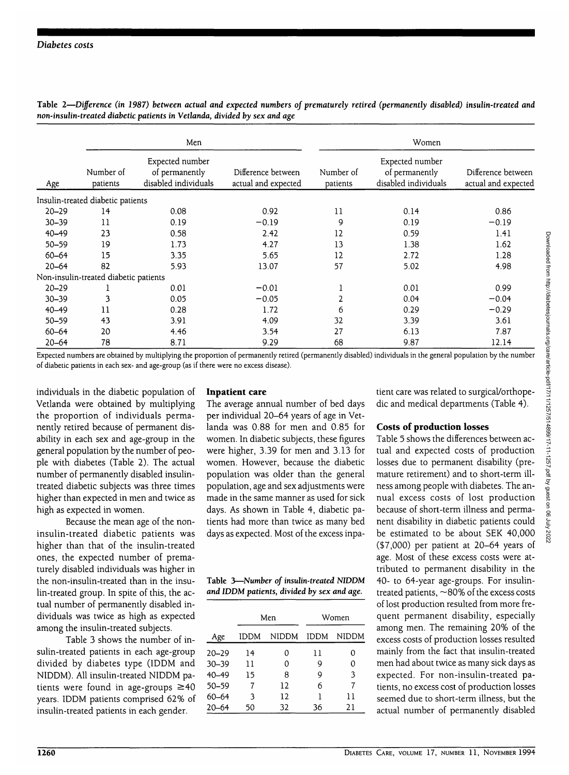|           |                                       | Men                                                       |                                           |                       | Women                                                     |                                           |
|-----------|---------------------------------------|-----------------------------------------------------------|-------------------------------------------|-----------------------|-----------------------------------------------------------|-------------------------------------------|
| Age       | Number of<br>patients                 | Expected number<br>of permanently<br>disabled individuals | Difference between<br>actual and expected | Number of<br>patients | Expected number<br>of permanently<br>disabled individuals | Difference between<br>actual and expected |
|           | Insulin-treated diabetic patients     |                                                           |                                           |                       |                                                           |                                           |
| $20 - 29$ | 14                                    | 0.08                                                      | 0.92                                      | 11                    | 0.14                                                      | 0.86                                      |
| $30 - 39$ | $_{11}$                               | 0.19                                                      | $-0.19$                                   | 9                     | 0.19                                                      | $-0.19$                                   |
| $40 - 49$ | 23                                    | 0.58                                                      | 2.42                                      | 12                    | 0.59                                                      | 1.41                                      |
| $50 - 59$ | 19                                    | 1.73                                                      | 4.27                                      | 13                    | 1.38                                                      | 1.62                                      |
| 60-64     | 15                                    | 3.35                                                      | 5.65                                      | 12                    | 2.72                                                      | 1.28                                      |
| $20 - 64$ | 82                                    | 5.93                                                      | 13.07                                     | 57                    | 5.02                                                      | 4.98                                      |
|           | Non-insulin-treated diabetic patients |                                                           |                                           |                       |                                                           |                                           |
| $20 - 29$ |                                       | 0.01                                                      | $-0.01$                                   |                       | 0.01                                                      | 0.99                                      |
| $30 - 39$ | 3                                     | 0.05                                                      | $-0.05$                                   |                       | 0.04                                                      | $-0.04$                                   |
| $40 - 49$ | 11                                    | 0.28                                                      | 1.72                                      | 6                     | 0.29                                                      | $-0.29$                                   |
| $50 - 59$ | 43                                    | 3.91                                                      | 4.09                                      | 32                    | 3.39                                                      | 3.61                                      |
| $60 - 64$ | 20                                    | 4.46                                                      | 3.54                                      | 27                    | 6.13                                                      | 7.87                                      |
| $20 - 64$ | 78                                    | 8.71                                                      | 9.29                                      | 68                    | 9.87                                                      | 12.14                                     |

**Table 2—***Difference (in 1987) between actual and expected numbers of prematurely retired (permanently disabled) insulin-treated and non-insulin-treated diabetic patients in Vetlanda, divided by sex and age*

Expected numbers are obtained by multiplying the proportion of permanently retired (permanently disabled) individuals in the general population by the number of diabetic patients in each sex- and age-group (as if there were no excess disease).

individuals in the diabetic population of Vetlanda were obtained by multiplying the proportion of individuals permanently retired because of permanent disability in each sex and age-group in the general population by the number of people with diabetes (Table 2). The actual number of permanently disabled insulintreated diabetic subjects was three times higher than expected in men and twice as high as expected in women.

Because the mean age of the noninsulin-treated diabetic patients was higher than that of the insulin-treated ones, the expected number of prematurely disabled individuals was higher in the non-insulin-treated than in the insulin-treated group. In spite of this, the actual number of permanently disabled individuals was twice as high as expected among the insulin-treated subjects.

Table 3 shows the number of insulin-treated patients in each age-group divided by diabetes type (IDDM and NIDDM). All insulin-treated NIDDM patients were found in age-groups  $\geq 40$ years. IDDM patients comprised 62% of insulin-treated patients in each gender.

# **Inpatient care**

The average annual number of bed days per individual 20-64 years of age in Vetlanda was 0.88 for men and 0.85 for women. In diabetic subjects, these figures were higher, 3.39 for men and 3.13 for women. However, because the diabetic population was older than the general population, age and sex adjustments were made in the same manner as used for sick days. As shown in Table 4, diabetic patients had more than twice as many bed days as expected. Most of the excess inpa-

**Table 3—***Number of insulin-treated NIDDM and IDDM patients, divided by sex and age.*

| Men                   | Women                |  |
|-----------------------|----------------------|--|
| NIDDM<br>IDDM<br>Age  | NIDDM<br><b>IDDM</b> |  |
| $20 - 29$<br>14<br>0  | 11<br>O              |  |
| $30 - 39$<br>11<br>0  | g<br>0               |  |
| 8<br>$40 - 49$<br>15  | 3<br>9               |  |
| $50 - 59$<br>12<br>7  | 6<br>7               |  |
| 12<br>60–64<br>3      | 11<br>1              |  |
| 32<br>$20 - 64$<br>50 | 36<br>21             |  |

tient care was related to surgical/orthopedic and medical departments (Table 4).

# **Costs of production losses**

Table 5 shows the differences between actual and expected costs of production losses due to permanent disability (premature retirement) and to short-term illness among people with diabetes. The annual excess costs of lost production because of short-term illness and permanent disability in diabetic patients could be estimated to be about SEK 40,000 (\$7,000) per patient at 20-64 years of age. Most of these excess costs were attributed to permanent disability in the 40- to 64-year age-groups. For insulintreated patients,  $\sim$ 80% of the excess costs of lost production resulted from more frequent permanent disability, especially among men. The remaining 20% of the excess costs of production losses resulted mainly from the fact that insulin-treated men had about twice as many sick days as expected. For non-insulin-treated patients, no excess cost of production losses seemed due to short-term illness, but the actual number of permanently disabled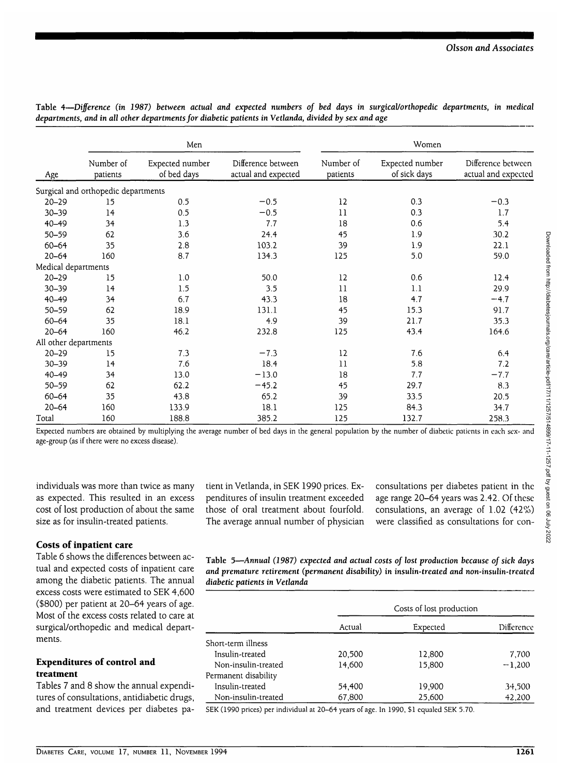|                       | Men                                 |                                |                                           | Women                 |                                 |                                           |
|-----------------------|-------------------------------------|--------------------------------|-------------------------------------------|-----------------------|---------------------------------|-------------------------------------------|
| Age                   | Number of<br>patients               | Expected number<br>of bed days | Difference between<br>actual and expected | Number of<br>patients | Expected number<br>of sick days | Difference between<br>actual and expected |
|                       | Surgical and orthopedic departments |                                |                                           |                       |                                 |                                           |
| $20 - 29$             | 15                                  | 0.5                            | $-0.5$                                    | 12                    | 0.3                             | $-0.3$                                    |
| $30 - 39$             | 14                                  | 0.5                            | $-0.5$                                    | 11                    | 0.3                             | 1.7                                       |
| $40 - 49$             | 34                                  | 1.3                            | 7.7                                       | 18                    | 0.6                             | 5.4                                       |
| 50-59                 | 62                                  | 3.6                            | 24.4                                      | 45                    | 1.9                             | 30.2                                      |
| 60-64                 | 35                                  | 2.8                            | 103.2                                     | 39                    | 1.9                             | 22.1                                      |
| $20 - 64$             | 160                                 | 8.7                            | 134.3                                     | 125                   | 5.0                             | 59.0                                      |
| Medical departments   |                                     |                                |                                           |                       |                                 |                                           |
| $20 - 29$             | 15                                  | 1.0                            | 50.0                                      | 12                    | 0.6                             | 12.4                                      |
| $30 - 39$             | 14                                  | 1.5                            | 3.5                                       | 11                    | 1.1                             | 29.9                                      |
| $40 - 49$             | 34                                  | 6.7                            | 43.3                                      | 18                    | 4.7                             | $-4.7$                                    |
| $50 - 59$             | 62                                  | 18.9                           | 131.1                                     | 45                    | 15.3                            | 91.7                                      |
| $60 - 64$             | 35                                  | 18.1                           | 4.9                                       | 39                    | 21.7                            | 35.3                                      |
| $20 - 64$             | 160                                 | 46.2                           | 232.8                                     | 125                   | 43.4                            | 164.6                                     |
| All other departments |                                     |                                |                                           |                       |                                 |                                           |
| $20 - 29$             | 15                                  | 7.3                            | $-7.3$                                    | 12                    | 7.6                             | 6.4                                       |
| $30 - 39$             | 14                                  | 7.6                            | 18.4                                      | 11                    | 5.8                             | 7.2                                       |
| $40 - 49$             | 34                                  | 13.0                           | $-13.0$                                   | 18                    | 7.7                             | $-7.7$                                    |
| $50 - 59$             | 62                                  | 62.2                           | $-45.2$                                   | 45                    | 29.7                            | 8.3                                       |
| 60-64                 | 35                                  | 43.8                           | 65.2                                      | 39                    | 33.5                            | 20.5                                      |
| $20 - 64$             | 160                                 | 133.9                          | 18.1                                      | 125                   | 84.3                            | 34.7                                      |
| Total                 | 160                                 | 188.8                          | 385.2                                     | 125                   | 132.7                           | 258.3                                     |

**Table 4—***Difference (in 1987) between actual and expected numbers of bed days in surgical/orthopedic departments, in medical departments, and in all other departments for diabetic patients in Vetlanda, divided by sex and age*

Expected numbers are obtained by multiplying the average number of bed days in the general population by the number of diabetic patients in each sex- and age-group (as if there were no excess disease).

individuals was more than twice as many as expected. This resulted in an excess cost of lost production of about the same size as for insulin-treated patients.

tient in Vetlanda, in SEK 1990 prices. Expenditures of insulin treatment exceeded those of oral treatment about fourfold. The average annual number of physician

consultations per diabetes patient in the age range 20-64 years was 2.42. Of these consulations, an average of 1.02 (42%) were classified as consultations for con-

# **Costs of inpatient care**

Table 6 shows the differences between actual and expected costs of inpatient care among the diabetic patients. The annual excess costs were estimated to SEK 4,600 (\$800) per patient at 20-64 years of age. Most of the excess costs related to care at surgical/orthopedic and medical departments.

## **Expenditures of control and treatment**

Tables 7 and 8 show the annual expenditures of consultations, antidiabetic drugs, and treatment devices per diabetes pa**Table 5—***Annual (1987) expected and actual costs of lost production because of sick days and premature retirement (permanent disability) in insulin-treated and non-insulin-treated diabetic patients in Vetlanda*

|                      | Costs of lost production |          |            |
|----------------------|--------------------------|----------|------------|
|                      | Actual                   | Expected | Difference |
| Short-term illness   |                          |          |            |
| Insulin-treated      | 20,500                   | 12,800   | 7,700      |
| Non-insulin-treated  | 14,600                   | 15,800   | $-1.200$   |
| Permanent disability |                          |          |            |
| Insulin-treated      | 54,400                   | 19,900   | 34,500     |
| Non-insulin-treated  | 67,800                   | 25,600   | 42,200     |

SEK (1990 prices) per individual at 20-64 years of age. In 1990, \$1 equaled SEK 5.70.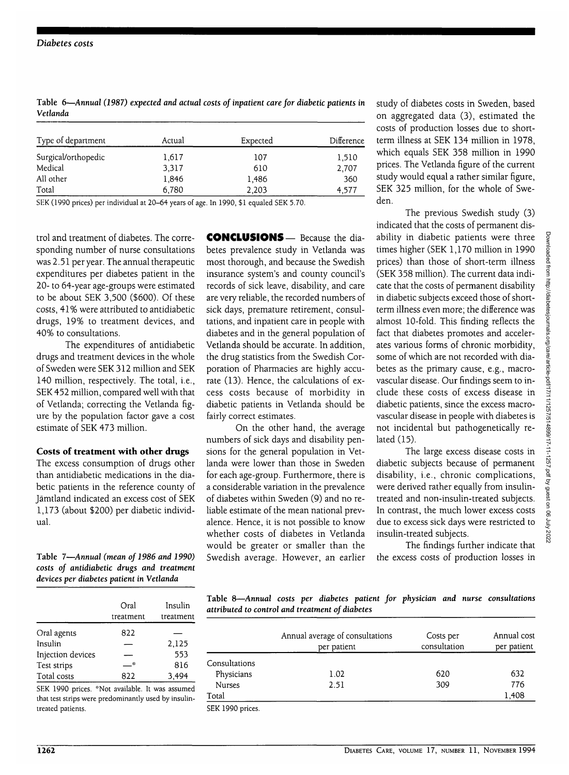| Type of department  | Actual | Expected | Difference |
|---------------------|--------|----------|------------|
| Surgical/orthopedic | 1,617  | 107      | 1,510      |
| Medical             | 3,317  | 610      | 2,707      |
| All other           | 1,846  | 1,486    | 360        |
| Total               | 6,780  | 2,203    | 4,577      |

**Table 6—***Annual (1987) expected and actual costs ofinpatient care for diabetic patients in Vetlanda*

SEK (1990 prices) per individual at 20-64 years of age. In 1990, \$1 equaled SEK 5.70.

trol and treatment of diabetes. The corresponding number of nurse consultations was 2.51 per year. The annual therapeutic expenditures per diabetes patient in the 20- to 64-year age-groups were estimated to be about SEK 3,500 (\$600). Of these costs, 41% were attributed to antidiabetic drugs, 19% to treatment devices, and 40% to consultations.

The expenditures of antidiabetic drugs and treatment devices in the whole of Sweden were SEK 312 million and SEK 140 million, respectively. The total, i.e., SEK 452 million, compared well with that of Vetlanda; correcting the Vetlanda figure by the population factor gave a cost estimate of SEK 473 million.

## **Costs of treatment with other drugs**

The excess consumption of drugs other than antidiabetic medications in the diabetic patients in the reference county of Jamtland indicated an excess cost of SEK 1,173 (about \$200) per diabetic individual.

**Table** *7—Annual (mean of 1986 and 1990) costs of antidiabetic drugs and treatment devices per diabetes patient in Vetlanda*

|                   | Oral<br>treatment | Insulin<br>treatment |
|-------------------|-------------------|----------------------|
| Oral agents       | 822               |                      |
| Insulin           |                   | 2,125                |
| Injection devices |                   | 553                  |
| Test strips       | z.                | 816                  |
| Total costs       | 822               |                      |

SEK 1990 prices. <sup>#</sup>Not available. It was assumed that test strips were predominantly used by insulintreated patients.

**CONCLUSIONS—** Because the diabetes prevalence study in Vetlanda was most thorough, and because the Swedish insurance system's and county council's records of sick leave, disability, and care are very reliable, the recorded numbers of sick days, premature retirement, consultations, and inpatient care in people with diabetes and in the general population of Vetlanda should be accurate. In addition, the drug statistics from the Swedish Corporation of Pharmacies are highly accurate (13). Hence, the calculations of excess costs because of morbidity in diabetic patients in Vetlanda should be fairly correct estimates.

On the other hand, the average numbers of sick days and disability pensions for the general population in Vetlanda were lower than those in Sweden for each age-group. Furthermore, there is a considerable variation in the prevalence of diabetes within Sweden (9) and no reliable estimate of the mean national prevalence. Hence, it is not possible to know whether costs of diabetes in Vetlanda would be greater or smaller than the Swedish average. However, an earlier study of diabetes costs in Sweden, based on aggregated data (3), estimated the costs of production losses due to shortterm illness at SEK 134 million in 1978, which equals SEK 358 million in 1990 prices. The Vetlanda figure of the current study would equal a rather similar figure, SEK 325 million, for the whole of Sweden.

The previous Swedish study (3) indicated that the costs of permanent disability in diabetic patients were three times higher (SEK 1,170 million in 1990 prices) than those of short-term illness (SEK 358 million). The current data indicate that the costs of permanent disability in diabetic subjects exceed those of shortterm illness even more; the difference was almost 10-fold. This finding reflects the fact that diabetes promotes and accelerates various forms of chronic morbidity, some of which are not recorded with diabetes as the primary cause, e.g., macrovascular disease. Our findings seem to include these costs of excess disease in diabetic patients, since the excess macrovascular disease in people with diabetes is not incidental but pathogenetically related (15).

The large excess disease costs in diabetic subjects because of permanent disability, i.e., chronic complications, were derived rather equally from insulintreated and non-insulin-treated subjects. In contrast, the much lower excess costs due to excess sick days were restricted to insulin-treated subjects.

The findings further indicate that the excess costs of production losses in

**Table 8—***Annual costs per diabetes patient for physician and nurse consultations attributed to control and treatment of diabetes*

|                  | Annual average of consultations<br>per patient | Costs per<br>consultation | Annual cost<br>per patient |
|------------------|------------------------------------------------|---------------------------|----------------------------|
| Consultations    |                                                |                           |                            |
| Physicians       | 1.02                                           | 620                       | 632                        |
| <b>Nurses</b>    | 2.51                                           | 309                       | 776                        |
| Total            |                                                |                           | 1,408                      |
| SEK 1990 prices. |                                                |                           |                            |

Downloaded from http://diabetesjournals.org/care/article-pdf/17/11/1257/514899/17-11-1257.pdf by guest on 06 July 2022Downloaded from http://diabetesjournals.org/care/article-pdf/17/11/1257/514899/17-11-1257.pdf by guest on 06 July 2022